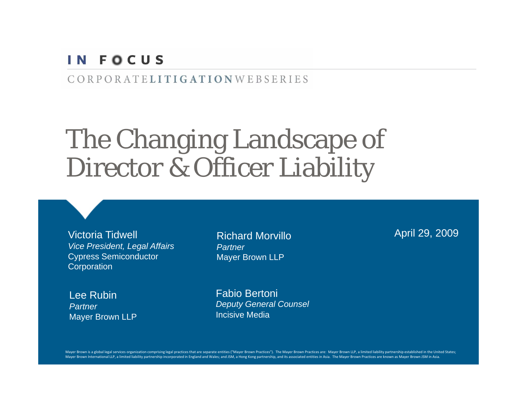#### IN FOCUS

#### CORPORATELITIGATIONWEBSERIES

# The Changing Landscape of Director & Officer Liability

Victoria Tidwell *Vice President, Legal Affairs* Cypress Semiconductor **Corporation** 

Richard Morvillo*Partner*Mayer Brown LLP

April 29, 2009

Lee Rubin*Partner*Mayer Brown LLP Fabio Bertoni *Deputy General Counsel* Incisive Media

Mayer Brown is a global legal services organization comprising legal practices that are separate entities ("Mayer Brown Practices"). The Mayer Brown Practices are: Mayer Brown LLP, a limited liability partnership establish Mayer Brown International LLP, a limited liability partnership incorporated in England and Wales; and JSM, a Hong Kong partnership, and its associated entities in Asia. The Mayer Brown Practices are known as Mayer Brown JS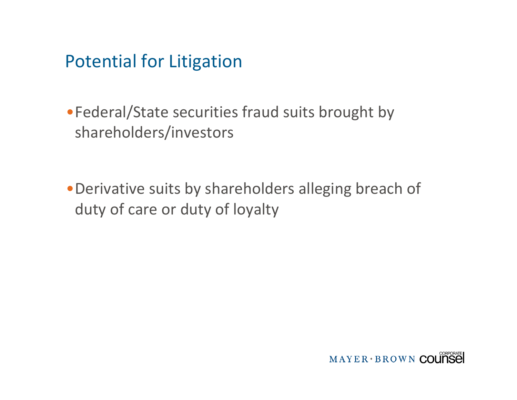#### Potential for Litigation

•Federal/State securities fraud suits brought by shareholders/investors

•Derivative suits by shareholders alleging breach of duty of care or duty of loyalty

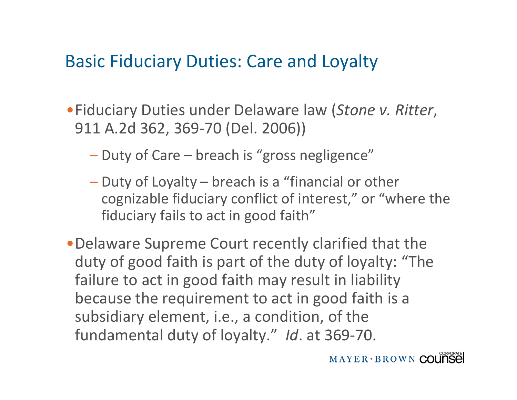#### Basic Fiduciary Duties: Care and Loyalty

- •Fiduciary Duties under Delaware law (*Stone v. Ritter*, 911 A.2d 362, 369-70 (Del. 2006))
	- Duty of Care breach is "gross negligence"
	- Duty of Loyalty breach is a "financial or other cognizable fiduciary conflict of interest," or "where the fiduciary fails to act in good faith"
- •Delaware Supreme Court recently clarified that the duty of good faith is part of the duty of loyalty: "The failure to act in good faith may result in liability because the requirement to act in good faith is <sup>a</sup> subsidiary element, i.e., <sup>a</sup> condition, of the fundamental duty of loyalty." *Id*. at 369‐70.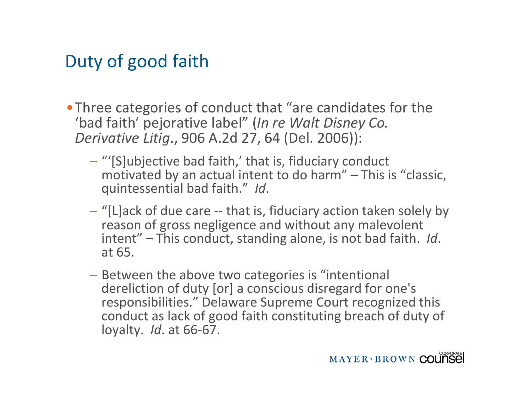### Duty of good faith

- •Three categories of conduct that "are candidates for the 'bad faith' pejorative label" (*In re Walt Disney Co. Derivative Litig*., 906 A.2d 27, 64 (Del. 2006)):
	- "'[S]ubjective bad faith,' that is, fiduciary conduct motivated by an actual intent to do harm" – This is "classic, quintessential bad faith." *Id*.
	- "[L]ack of due care ‐‐ that is, fiduciary action taken solely by reason of gross negligence and without any malevolent intent" – This conduct, standing alone, is not bad faith. *Id*. at 65.
	- $-$  Between the above two categories is "intentional dereliction of duty [or] <sup>a</sup> conscious disregard for one's responsibilities." Delaware Supreme Court recognized this conduct as lack of good faith constituting breach of duty of loyalty. *Id*. at 66-67.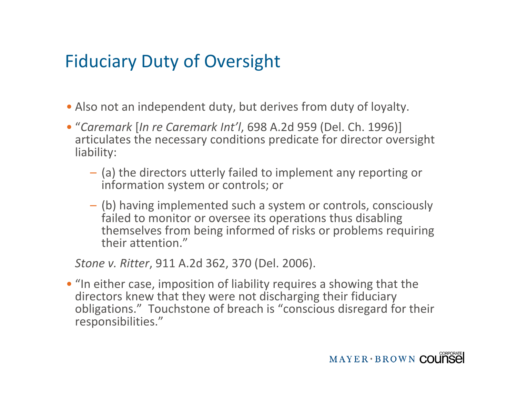## Fiduciary Duty of Oversight

- Also not an independent duty, but derives from duty of loyalty.
- "*C k aremark*[*In re C k aremarkI <sup>t</sup>'l <sup>n</sup>* , 698 A 2d . 959 (D l <sup>e</sup> . Ch. 1996)] articulates the necessary conditions predicate for director oversight liability:
	- (a) the directors utterly failed to implement any reporting or information system or controls; or
	- (b) having implemented such <sup>a</sup> system or controls, consciously failed to monitor or oversee its operations thus disabling themselves from being informed of risks or problems requiring their attention."

*Stone v. Ritter*, 911 A.2d 362, 370 (Del. 2006).

• "In either case, imposition of liability requires <sup>a</sup> showing that the directors knew that they were not discharging their fiduciary obligations." Touchstone of breach is "conscious disregard for their responsibilities."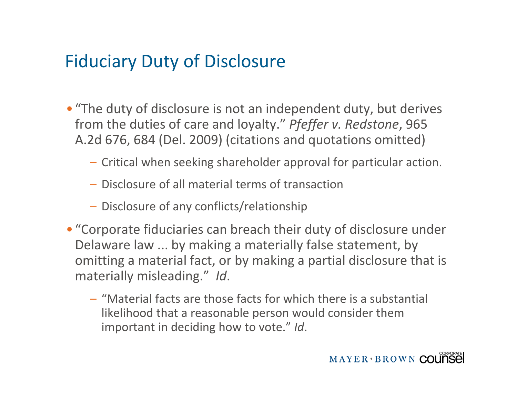#### Fiduciary Duty of Disclosure

- "The duty of disclosure is not an independent duty, but derives from the duties of care and loyalty." *Pfeffer v. Redstone,* 965 A.2d 676, 684 (Del. 2009) (citations and quotations omitted)
	- Critical when seeking shareholder approval for particular action.
	- Disclosure of all material terms of transaction
	- Disclosure of any conflicts/relationship
- "Corporate fiduciaries can breach their duty of disclosure under Delaware law ... by making <sup>a</sup> materially false statement, by omitting <sup>a</sup> material fact, or by making <sup>a</sup> partial disclosure that is materially misleading." *Id*.
	- "Material facts are those facts for which there is <sup>a</sup> substantial likelihood that <sup>a</sup> reasonable person would consider them important in deciding how to vote." *Id*.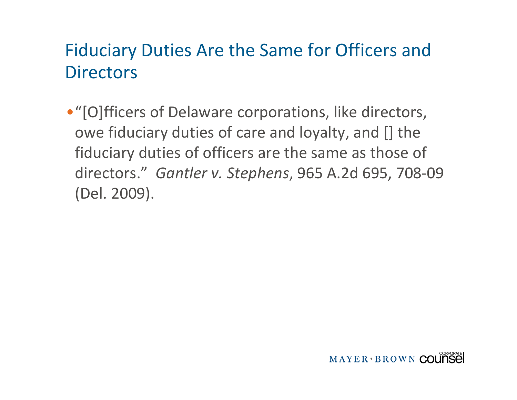#### Fiduciary Duties Are the Same for Officers and **Directors**

•"[O]fficers of Delaware corporations, like directors, owe fiduciary duties of care and loyalty, and [] the fiduciary duties of officers are the same as those of directors." *Gantler v. Stephens,* 965 A.2d 695, 708-09 (Del. 2009).

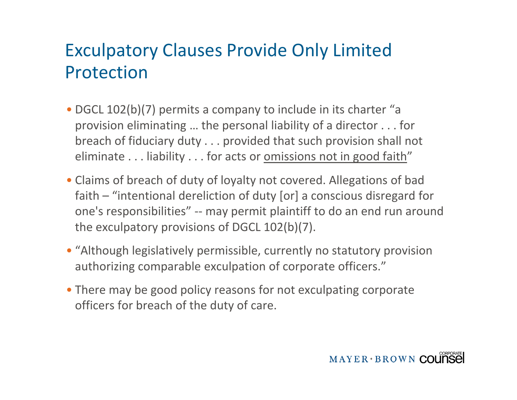### Exculpatory Clauses Provide Only Limited Protection

- DGCL 102(b)(7) permits <sup>a</sup> company to include in its charter "a provision eliminating … the personal liability of <sup>a</sup> director . . . for breach of fiduciary duty . . . provided that such provision shall not eliminate . . . liability . . . for acts or <u>omissions not in good faith</u>"
- Claims of breach of duty of loyalty not covered. Allegations of bad faith – "intentional dereliction of duty [or] <sup>a</sup> conscious disregard for one's responsibilities" ‐‐ may permit plaintiff to do an end run around the exculpatory provisions of DGCL 102(b)(7).
- "Although legislatively permissible, currently no statutory provision authorizing comparable exculpation of corporate officers."
- There may be good policy reasons for not exculpating corporate officers for breach of the duty of care.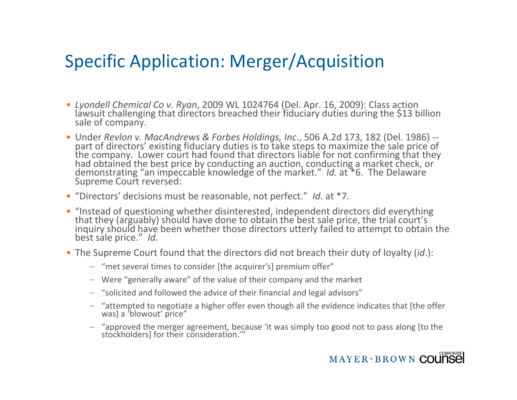#### Specific Application: Merger/Acquisition

- Lyondell Chemical Co v. Ryan, 2009 WL 1024764 (Del. Apr. 16, 2009): Class action *Lyondell Chemical Co v. Ryan*, <sup>2009</sup> WL <sup>1024764</sup> (Del. Apr. 16, 2009): Class action lawsuitláwsuit challenging that directors breached their fiduciary duties during the \$13 billion<br>sale of company. sale of company.
- Under *Revlon v. MacAndrews & Forbes Holdings, Inc*., 506 A.2d 173, 182 (Del. 1986) ‐‐ part of directors' existing fiduciary duties is to take steps to maximize the sale price of<br>the company. Lower court had found that directors liable for not confirming that they the company. Lower court had found that directors liable for not confirming that they<br>had obtained the best price by conducting an auction, conducting a market check, or obtained the best price by conducting an auction, conducting <sup>a</sup> market check, or demonstrating "an impeccable knowledge of the market. market." *Id.* at \*6. The Delaware Supreme Court reversed:
- "Directors' decisions must be reasonable, not perfect." *Id.* at \*7.
- "Instead"Instead of questioning whether disinterested, independent directors did everything<br>that they (arguably) should have done to obtain the best sale price, the trial court's inquiry should have been whether those directors utterly failed to attempt to obtain the<br>best sale price." *Id.* sale price." *Id.*
- The Supreme Court found that the directors did not breach their duty of loyalty (*id*.):
	- "met several times to consider [the acquirer's] premium offer"
	- Were "generally aware" of the value of their company and the market
	- "solicited and followed the advice of their financial and legal advisors"
	- "attempted to negotiate <sup>a</sup> higher offer even though all the evidence indicates that [the offer was] <sup>a</sup> 'blowout' price"
	- "approved the merger agreement, because 'it was simply too good not to pass along [to the stockholders] for their consideration.'"

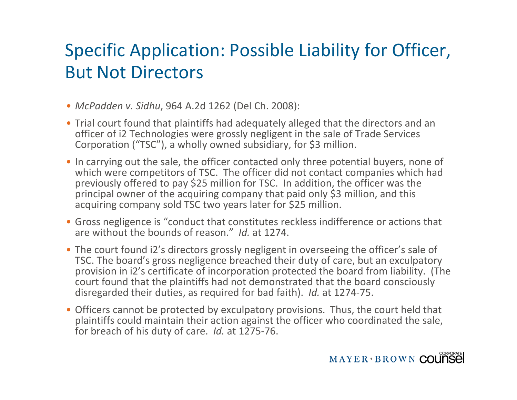### Specific Application: Possible Liability for Officer, But Not Directors

- *McPadden v. Sidhu*, 964 A.2d 1262 (Del Ch. 2008):
- Trial court found that plaintiffs had adequately alleged that the directors and an officer of i2 Technologies were grossly negligent in the sale of Trade Services Corporation ("TSC"), <sup>a</sup> wholly owned subsidiary, for \$3 million.
- In carrying out the sale, the officer contacted only three potential buyers, none of which were competitors of TSC. The officer did not contact companies which had previously offered to pay \$25 million for TSC. In addition, the officer was the principal owner of the acquiring company that paid only \$3 million, and this acquiring company sold TSC two years later for \$25 million.
- Gross negligence is "conduct that constitutes reckless indifference or actions that are without the bounds of reason." *Id.* at 1274.
- The court found i2's directors grossly negligent in overseeing the officer's sale of TSC. The board's gross negligence breached their duty of care, but an exculpatory provision in i2's certificate of incorporation protected the board from liability. (The court found that the plaintiffs had not demonstrated that the board consciously disregarded their duties, as required for bad faith). *Id.* at 1274‐75.
- Officers cannot be protected by exculpatory provisions. Thus, the court held that plaintiffs could maintain their action against the officer who coordinated the sale, for breach of his duty of care. *Id.* at 1275‐76.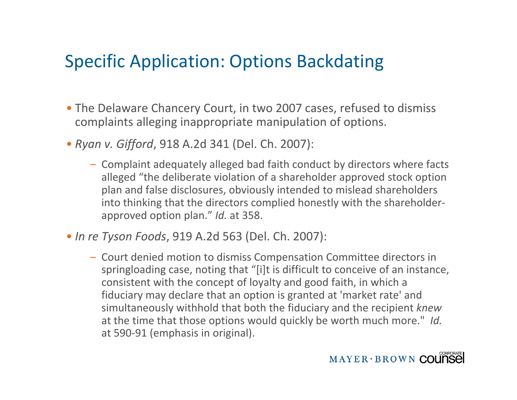#### Specific Application: Options Backdating

- The Delaware Chancery Court, in two 2007 cases, refused to dismiss complaints alleging inappropriate manipulation of options.
- *Ryan v. Gifford*, 918 A.2d 341 (Del. Ch. 2007):
	- Complaint adequately alleged bad faith conduct by directors where facts alleged "the deliberate violation of a shareholder approved stock option plan and false disclosures, obviously intended to mislead shareholders into thinking that the directors complied honestly with the shareholder‐ approved option plan." *Id.* at 358.
- *In re Tyson Foods*, 919 A.2d 563 (Del. Ch. 2007):
	- Court denied motion to dismiss Compensation Committee directors in spring loading case, noting that "[i]t is difficult to conceive of an instance, consistent with the concept of loyalty and good faith, in which <sup>a</sup> fiduciary may declare that an option is granted at 'market rate' and simultaneously withhold that both the fiduciary and the recipient *knew* at the time that those options would quickly be worth much more." Id. at 590‐91 (emphasis in original).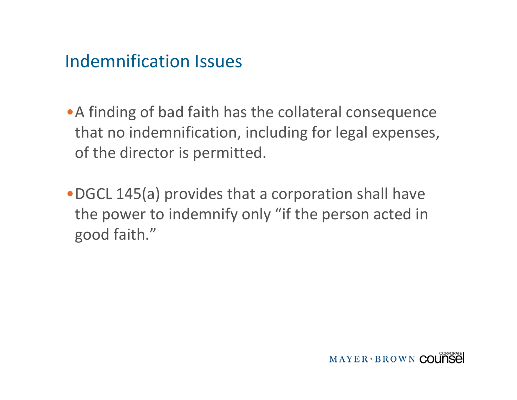#### Indemnification Issues

- •A finding of bad faith has the collateral consequence that no indemnification, including for legal expenses, of the director is permitted.
- •DGCL 145(a) provides that <sup>a</sup> corporation shall have the power to indemnify only "if the person acted in good faith."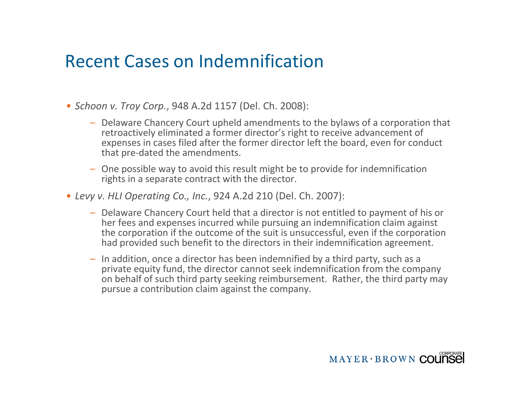#### Recent Cases on Indemnification

- *Schoon v. Troy Corp.*, 948 A.2d 1157 (Del. Ch. 2008):
	- Delaware Chancery Court upheld amendments to the bylaws of <sup>a</sup> corporation that retroactively eliminated <sup>a</sup> former director's right to receive advancement of expenses in cases filed after the former director left the board, even for conduct that pre‐dated the amendments.
	- One possible way to avoid this result might be to provide for indemnification rights in <sup>a</sup> separate contract with the director.
- *Levy v. HLI Operating Co., Inc.*, 924 A.2d 210 (Del. Ch. 2007):
	- Delaware Chancery Court held that <sup>a</sup> director is not entitled to payment of his or her fees and expenses incurred while pursuing an indemnification claim against the corporation if the outcome of the suit is unsuccessful, even if the corporation had provided such benefit to the directors in their indemnification agreement.
	- In addition, once <sup>a</sup> director has been indemnified by <sup>a</sup> third party, such as <sup>a</sup> private equity fund, the director cannot seek indemnification from the company on behalf of such third party seeking reimbursement. Rather, the third party may pursue <sup>a</sup> contribution claim against the company.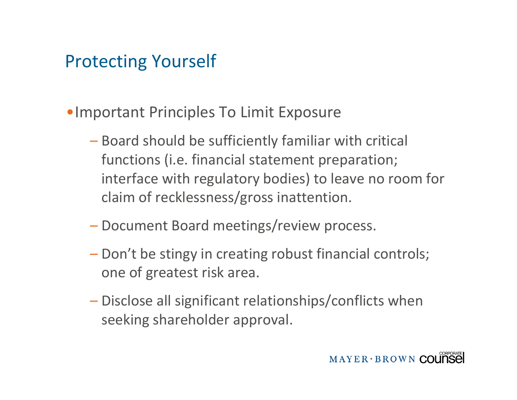#### Protecting Yourself

- •Important Principles To Limit Exposure
	- Board should be sufficiently familiar with critical functions (i.e. financial statement preparation; interface with regulatory bodies) to leave no room for claim of recklessness/gross inattention.
	- Document Board meetings/review process.
	- Don't be stingy in creating robust financial controls; one of greatest risk area.
	- Disclose all significant relationships/conflicts when seeking shareholder approval.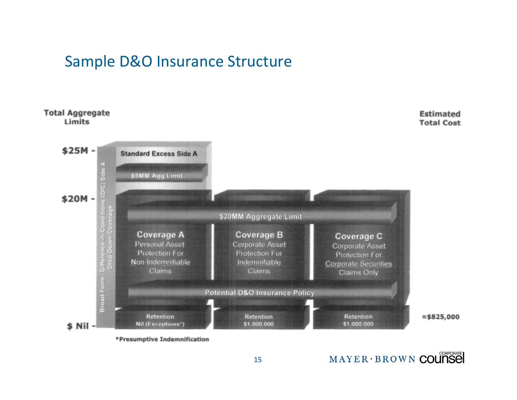#### Sample D&O Insurance Structure



\*Presumptive Indemnification

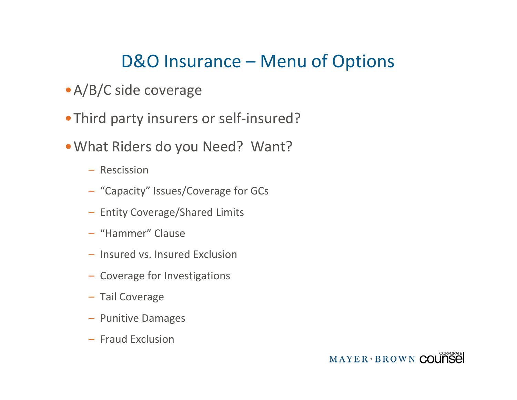#### D&O Insurance – Menu of Options

- •A/B/C side coverage
- Third party insurers or self-insured?
- •What Riders do you Need? Want?
	- Rescission
	- "Capacity" Issues/Coverage for GCs
	- Entity Coverage/Shared Limits
	- "Hammer" Clause
	- Insured vs. Insured Exclusion
	- Coverage for Investigations
	- Tail Coverage
	- Punitive Damages
	- Fraud Exclusion

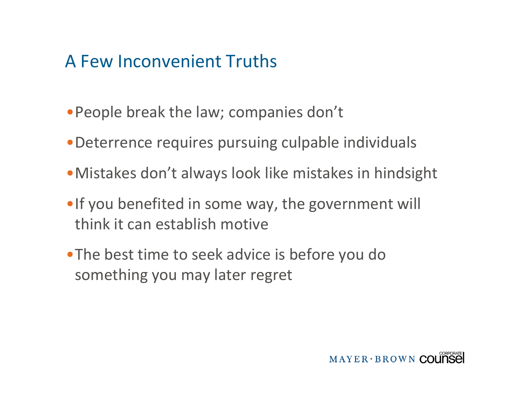#### A Few Inconvenient Truths

- •People break the law; companies don't
- •Deterrence requires pursuing culpable individuals
- •Mistakes don't always look like mistakes in hindsight
- •If you benefited in some way, the government will think it can establish motive
- •The best time to seek advice is before you do something you may later regret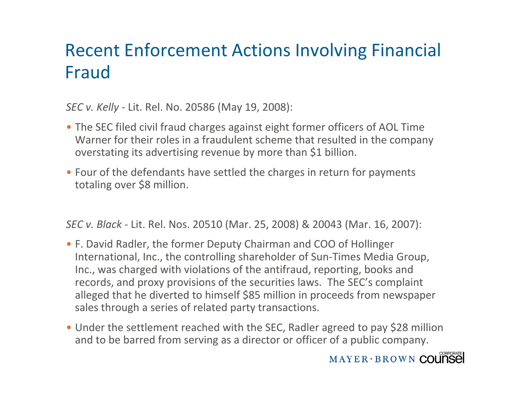#### Recent Enforcement Actions Involving Financial Fraud

*SEC v. Kelly* ‐ Lit. Rel. No. 20586 (May 19, 2008):

- The SEC filed civil fraud charges against eight former officers of AOL Time Warner for their roles in <sup>a</sup> fraudulent scheme that resulted in the company overstating its advertising revenue by more than \$1 billion.
- Four of the defendants have settled the charges in return for payments totaling over \$8 million.

*SEC v. Black* ‐ Lit. Rel. Nos. 20510 (Mar. 25, 2008) & 20043 (Mar. 16, 2007):

- F. David Radler, the former Deputy Chairman and COO of Hollinger International, Inc., the controlling shareholder of Sun‐Times Media Group, Inc., was charged with violations of the antifraud, reporting, books and records, and proxy provisions of the securities laws. The SEC's complaint alleged that he diverted to himself \$85 million in proceeds from newspaper sales through <sup>a</sup> series of related party transactions.
- Under the settlement reached with the SEC, Radler agreed to pay \$28 million and to be barred from serving as <sup>a</sup> director or officer of <sup>a</sup> public company.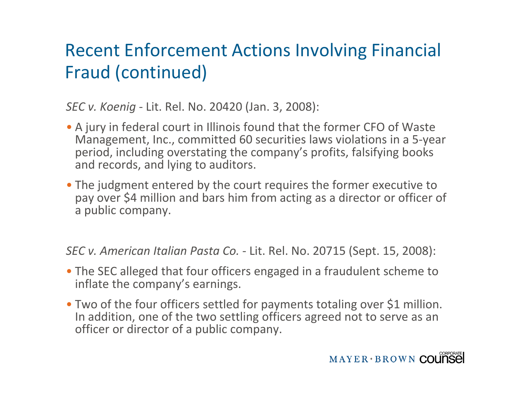### Recent Enforcement Actions Involving Financial Fraud (continued)

*SEC v. Koenig* ‐ Lit. Rel. No. 20420 (Jan. 3, 2008):

- A jury in federal court in Illinois found that the former CFO of Waste Management, Inc., committed 60 securities laws violations in <sup>a</sup> 5‐year period, including overstating the company's profits, falsifying books and records, and lying to auditors.
- The judgment entered by the court requires the former executive to pay over \$4 million and bars him from acting as <sup>a</sup> director or officer of a public company.

*SEC v. American Italian Pasta Co.* ‐ Lit. Rel. No. 20715 (Sept. 15, 2008):

- The SEC alleged that four officers engaged in <sup>a</sup> fraudulent scheme to inflate the company's earnings.
- Two of the four officers settled for payments totaling over \$1 million. In addition, one of the two settling officers agreed not to serve as an officer or director of <sup>a</sup> public company.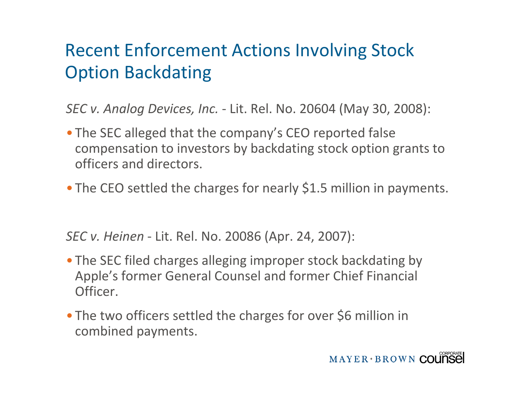### Recent Enforcement Actions Involving Stock Option Backdating

*SEC v. Analog Devices, Inc.* ‐ Lit. Rel. No. 20604 (May 30, 2008):

- The SEC alleged that the company's CEO reported false compensation to investors by backdating stock option grants to officers and directors.
- The CEO settled the charges for nearly \$1.5 million in payments.

*SEC v. Heinen* ‐ Lit. Rel. No. 20086 (Apr. 24, 2007):

- The SEC filed charges alleging improper stock backdating by Apple's former General Counsel and former Chief Financial Officer.
- The two officers settled the charges for over \$6 million in combined payments.

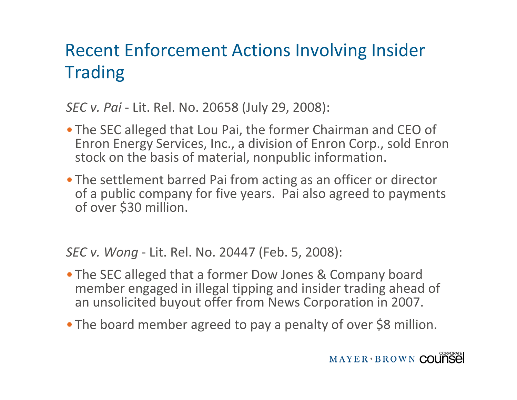### Recent Enforcement Actions Involving Insider **Trading**

*SEC v. Pai* ‐ Lit. Rel. No. 20658 (July 29, 2008):

- The SEC alleged that Lou Pai, the former Chairman and CEO of Enron Energy Services, Inc., <sup>a</sup> division of Enron Corp., sold Enron stock on the basis of material, nonpublic information.
- The settlement barred Pai from acting as an officer or director of a public company for five years. Pai also agreed to payments of over \$30 million.

*SEC v. Wong* ‐ Lit. Rel. No. 20447 (Feb. 5, 2008):

- The SEC alleged that <sup>a</sup> former Dow Jones & Company board member engaged in illegal tipping and insider trading ahead of an unsolicited buyout offer from News Corporation in 2007.
- The board member agreed to pay a penalty of over \$8 million.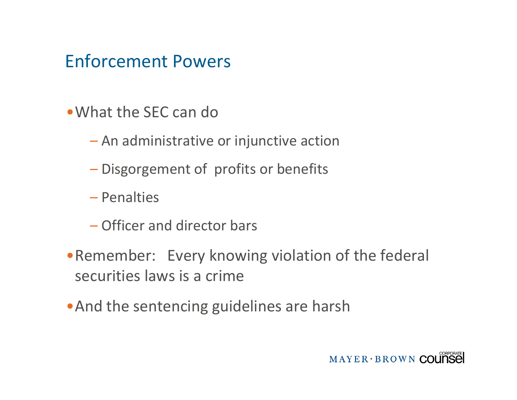#### Enforcement Powers

- •What the SEC can do
	- An administrative or injunctive action
	- –– Disgorgement of profits or benefits
	- Penalties
	- Officer and director bars
- •Remember: Every knowing violation of the federal securities laws is <sup>a</sup> crime
- •And the sentencing guidelines are harsh

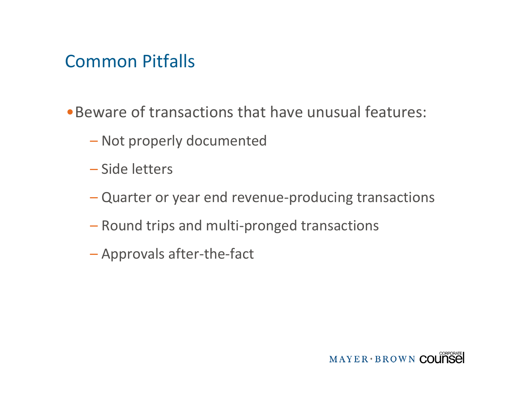#### Common Pitfalls

- •Beware of transactions that have unusual features:
	- Not properly documented
	- Side letters
	- Quarter or year end revenue‐producing transactions
	- Round trips and multi‐pronged transactions
	- Approvals after‐the‐fact

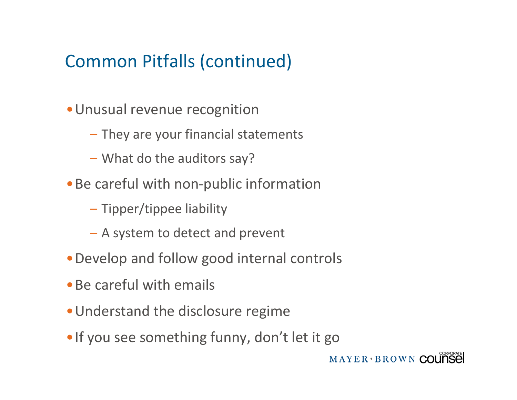### Common Pitfalls (continued)

- •Unusual revenue recognition
	- $-$  They are your financial statements
	- What do the auditors say?
- •Be careful with non‐public information
	- Tipper/tippee liability
	- A system to detect and prevent
- Develop and follow good internal controls
- •Be careful with emails
- •Understand the disclosure regime
- •If you see something funny, don't let it go

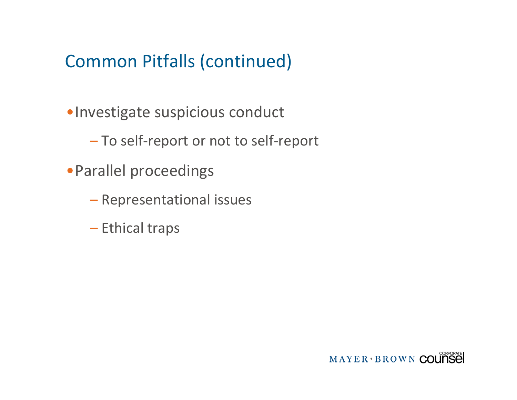#### Common Pitfalls (continued)

- •Investigate suspicious conduct
	- To self‐report or not to self‐report
- •Parallel proceedings
	- Representational issues
	- – $-$  Ethical traps